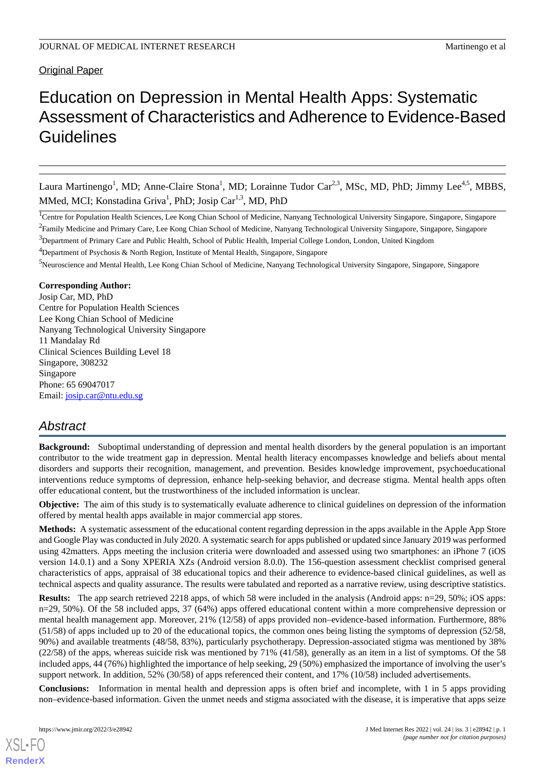# Original Paper

# Education on Depression in Mental Health Apps: Systematic Assessment of Characteristics and Adherence to Evidence-Based **Guidelines**

Laura Martinengo<sup>1</sup>, MD; Anne-Claire Stona<sup>1</sup>, MD; Lorainne Tudor Car<sup>2,3</sup>, MSc, MD, PhD; Jimmy Lee<sup>4,5</sup>, MBBS, MMed, MCI; Konstadina Griva<sup>1</sup>, PhD; Josip Car<sup>1,3</sup>, MD, PhD

<sup>1</sup>Centre for Population Health Sciences, Lee Kong Chian School of Medicine, Nanyang Technological University Singapore, Singapore, Singapore  $^2$ Family Medicine and Primary Care, Lee Kong Chian School of Medicine, Nanyang Technological University Singapore, Singapore, Singapore

<sup>3</sup>Department of Primary Care and Public Health, School of Public Health, Imperial College London, London, United Kingdom

<sup>4</sup>Department of Psychosis & North Region, Institute of Mental Health, Singapore, Singapore

<sup>5</sup>Neuroscience and Mental Health, Lee Kong Chian School of Medicine, Nanyang Technological University Singapore, Singapore, Singapore

### **Corresponding Author:**

Josip Car, MD, PhD Centre for Population Health Sciences Lee Kong Chian School of Medicine Nanyang Technological University Singapore 11 Mandalay Rd Clinical Sciences Building Level 18 Singapore, 308232 Singapore Phone: 65 69047017 Email: [josip.car@ntu.edu.sg](mailto:josip.car@ntu.edu.sg)

# *Abstract*

**Background:** Suboptimal understanding of depression and mental health disorders by the general population is an important contributor to the wide treatment gap in depression. Mental health literacy encompasses knowledge and beliefs about mental disorders and supports their recognition, management, and prevention. Besides knowledge improvement, psychoeducational interventions reduce symptoms of depression, enhance help-seeking behavior, and decrease stigma. Mental health apps often offer educational content, but the trustworthiness of the included information is unclear.

**Objective:** The aim of this study is to systematically evaluate adherence to clinical guidelines on depression of the information offered by mental health apps available in major commercial app stores.

**Methods:** A systematic assessment of the educational content regarding depression in the apps available in the Apple App Store and Google Play was conducted in July 2020. A systematic search for apps published or updated since January 2019 was performed using 42matters. Apps meeting the inclusion criteria were downloaded and assessed using two smartphones: an iPhone 7 (iOS version 14.0.1) and a Sony XPERIA XZs (Android version 8.0.0). The 156-question assessment checklist comprised general characteristics of apps, appraisal of 38 educational topics and their adherence to evidence-based clinical guidelines, as well as technical aspects and quality assurance. The results were tabulated and reported as a narrative review, using descriptive statistics.

**Results:** The app search retrieved 2218 apps, of which 58 were included in the analysis (Android apps: n=29, 50%; iOS apps: n=29, 50%). Of the 58 included apps, 37 (64%) apps offered educational content within a more comprehensive depression or mental health management app. Moreover, 21% (12/58) of apps provided non–evidence-based information. Furthermore, 88% (51/58) of apps included up to 20 of the educational topics, the common ones being listing the symptoms of depression (52/58, 90%) and available treatments (48/58, 83%), particularly psychotherapy. Depression-associated stigma was mentioned by 38% (22/58) of the apps, whereas suicide risk was mentioned by 71% (41/58), generally as an item in a list of symptoms. Of the 58 included apps, 44 (76%) highlighted the importance of help seeking, 29 (50%) emphasized the importance of involving the user's support network. In addition, 52% (30/58) of apps referenced their content, and 17% (10/58) included advertisements.

**Conclusions:** Information in mental health and depression apps is often brief and incomplete, with 1 in 5 apps providing non–evidence-based information. Given the unmet needs and stigma associated with the disease, it is imperative that apps seize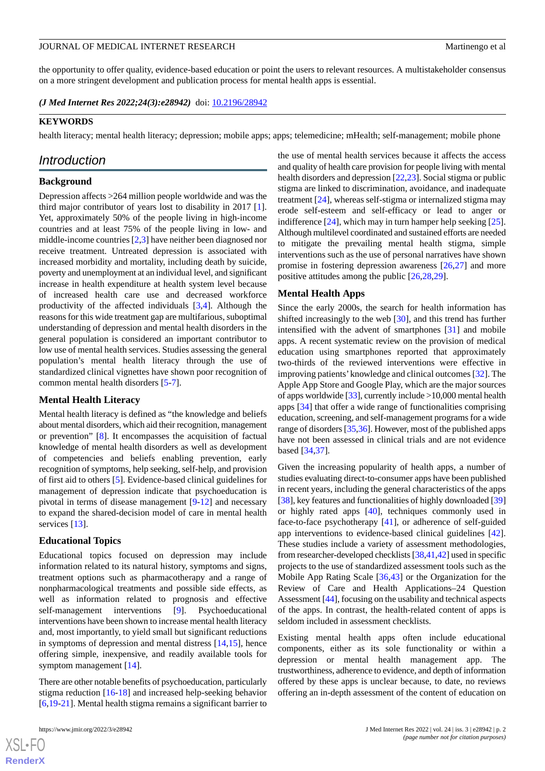the opportunity to offer quality, evidence-based education or point the users to relevant resources. A multistakeholder consensus on a more stringent development and publication process for mental health apps is essential.

*(J Med Internet Res 2022;24(3):e28942)* doi:  $10.2196/28942$ 

# **KEYWORDS**

health literacy; mental health literacy; depression; mobile apps; apps; telemedicine; mHealth; self-management; mobile phone

# *Introduction*

### **Background**

Depression affects >264 million people worldwide and was the third major contributor of years lost to disability in 2017 [[1\]](#page-12-0). Yet, approximately 50% of the people living in high-income countries and at least 75% of the people living in low- and middle-income countries [[2](#page-12-1)[,3\]](#page-12-2) have neither been diagnosed nor receive treatment. Untreated depression is associated with increased morbidity and mortality, including death by suicide, poverty and unemployment at an individual level, and significant increase in health expenditure at health system level because of increased health care use and decreased workforce productivity of the affected individuals [\[3](#page-12-2),[4\]](#page-12-3). Although the reasons for this wide treatment gap are multifarious, suboptimal understanding of depression and mental health disorders in the general population is considered an important contributor to low use of mental health services. Studies assessing the general population's mental health literacy through the use of standardized clinical vignettes have shown poor recognition of common mental health disorders [\[5](#page-12-4)-[7](#page-12-5)].

#### **Mental Health Literacy**

Mental health literacy is defined as "the knowledge and beliefs about mental disorders, which aid their recognition, management or prevention" [\[8\]](#page-12-6). It encompasses the acquisition of factual knowledge of mental health disorders as well as development of competencies and beliefs enabling prevention, early recognition of symptoms, help seeking, self-help, and provision of first aid to others [\[5](#page-12-4)]. Evidence-based clinical guidelines for management of depression indicate that psychoeducation is pivotal in terms of disease management [\[9](#page-12-7)-[12\]](#page-12-8) and necessary to expand the shared-decision model of care in mental health services [[13\]](#page-12-9).

#### **Educational Topics**

Educational topics focused on depression may include information related to its natural history, symptoms and signs, treatment options such as pharmacotherapy and a range of nonpharmacological treatments and possible side effects, as well as information related to prognosis and effective self-management interventions [[9\]](#page-12-7). Psychoeducational interventions have been shown to increase mental health literacy and, most importantly, to yield small but significant reductions in symptoms of depression and mental distress [\[14](#page-12-10),[15\]](#page-12-11), hence offering simple, inexpensive, and readily available tools for symptom management [\[14](#page-12-10)].

There are other notable benefits of psychoeducation, particularly stigma reduction [[16-](#page-12-12)[18](#page-12-13)] and increased help-seeking behavior [[6](#page-12-14)[,19](#page-12-15)-[21\]](#page-12-16). Mental health stigma remains a significant barrier to

the use of mental health services because it affects the access and quality of health care provision for people living with mental health disorders and depression [\[22](#page-13-0),[23\]](#page-13-1). Social stigma or public stigma are linked to discrimination, avoidance, and inadequate treatment [[24\]](#page-13-2), whereas self-stigma or internalized stigma may erode self-esteem and self-efficacy or lead to anger or indifference  $[24]$  $[24]$ , which may in turn hamper help seeking  $[25]$  $[25]$ . Although multilevel coordinated and sustained efforts are needed to mitigate the prevailing mental health stigma, simple interventions such as the use of personal narratives have shown promise in fostering depression awareness [[26,](#page-13-4)[27](#page-13-5)] and more positive attitudes among the public [\[26](#page-13-4),[28,](#page-13-6)[29](#page-13-7)].

#### **Mental Health Apps**

Since the early 2000s, the search for health information has shifted increasingly to the web [\[30](#page-13-8)], and this trend has further intensified with the advent of smartphones [[31\]](#page-13-9) and mobile apps. A recent systematic review on the provision of medical education using smartphones reported that approximately two-thirds of the reviewed interventions were effective in improving patients'knowledge and clinical outcomes [[32\]](#page-13-10). The Apple App Store and Google Play, which are the major sources of apps worldwide  $[33]$  $[33]$  $[33]$ , currently include >10,000 mental health apps [[34\]](#page-13-12) that offer a wide range of functionalities comprising education, screening, and self-management programs for a wide range of disorders [\[35](#page-13-13),[36](#page-13-14)]. However, most of the published apps have not been assessed in clinical trials and are not evidence based [\[34](#page-13-12),[37\]](#page-13-15).

Given the increasing popularity of health apps, a number of studies evaluating direct-to-consumer apps have been published in recent years, including the general characteristics of the apps [[38\]](#page-13-16), key features and functionalities of highly downloaded [[39\]](#page-13-17) or highly rated apps [\[40](#page-13-18)], techniques commonly used in face-to-face psychotherapy [\[41](#page-13-19)], or adherence of self-guided app interventions to evidence-based clinical guidelines [[42\]](#page-13-20). These studies include a variety of assessment methodologies, from researcher-developed checklists [[38](#page-13-16),[41,](#page-13-19)[42\]](#page-13-20) used in specific projects to the use of standardized assessment tools such as the Mobile App Rating Scale [\[36](#page-13-14),[43\]](#page-13-21) or the Organization for the Review of Care and Health Applications–24 Question Assessment [[44](#page-14-0)], focusing on the usability and technical aspects of the apps. In contrast, the health-related content of apps is seldom included in assessment checklists.

Existing mental health apps often include educational components, either as its sole functionality or within a depression or mental health management app. The trustworthiness, adherence to evidence, and depth of information offered by these apps is unclear because, to date, no reviews offering an in-depth assessment of the content of education on

```
XS-FO
RenderX
```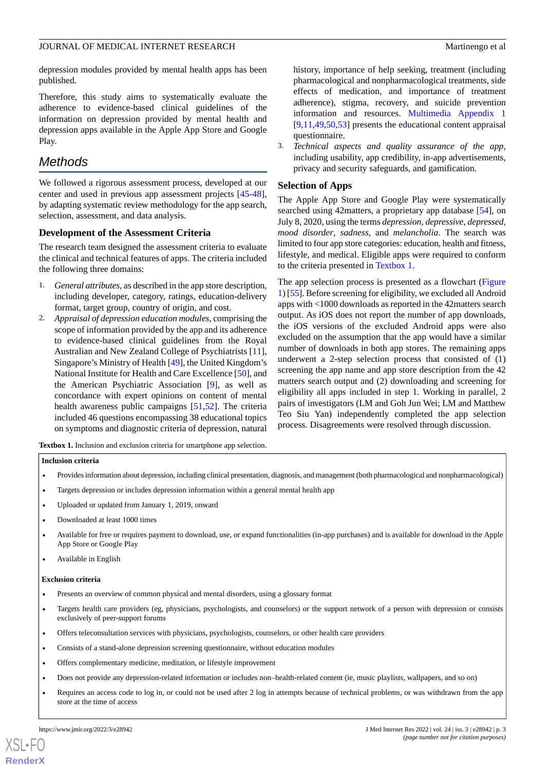depression modules provided by mental health apps has been published.

Therefore, this study aims to systematically evaluate the adherence to evidence-based clinical guidelines of the information on depression provided by mental health and depression apps available in the Apple App Store and Google Play.

# *Methods*

We followed a rigorous assessment process, developed at our center and used in previous app assessment projects [\[45](#page-14-1)-[48\]](#page-14-2), by adapting systematic review methodology for the app search, selection, assessment, and data analysis.

### **Development of the Assessment Criteria**

The research team designed the assessment criteria to evaluate the clinical and technical features of apps. The criteria included the following three domains:

- 1. *General attributes,* as described in the app store description, including developer, category, ratings, education-delivery format, target group, country of origin, and cost.
- 2. *Appraisal of depression education modules,* comprising the scope of information provided by the app and its adherence to evidence-based clinical guidelines from the Royal Australian and New Zealand College of Psychiatrists [[11\]](#page-12-17), Singapore's Ministry of Health [[49](#page-14-3)], the United Kingdom's National Institute for Health and Care Excellence [\[50](#page-14-4)], and the American Psychiatric Association [[9](#page-12-7)], as well as concordance with expert opinions on content of mental health awareness public campaigns [[51,](#page-14-5)[52](#page-14-6)]. The criteria included 46 questions encompassing 38 educational topics on symptoms and diagnostic criteria of depression, natural

history, importance of help seeking, treatment (including pharmacological and nonpharmacological treatments, side effects of medication, and importance of treatment adherence), stigma, recovery, and suicide prevention information and resources. [Multimedia Appendix 1](#page-11-0) [[9,](#page-12-7)[11,](#page-12-17)[49](#page-14-3)[,50](#page-14-4),[53\]](#page-14-7) presents the educational content appraisal questionnaire.

3. *Technical aspects and quality assurance of the app,* including usability, app credibility, in-app advertisements, privacy and security safeguards, and gamification.

### **Selection of Apps**

The Apple App Store and Google Play were systematically searched using 42matters, a proprietary app database [[54\]](#page-14-8), on July 8, 2020, using the terms *depression*, *depressive*, *depressed*, *mood disorder*, *sadness*, and *melancholia*. The search was limited to four app store categories: education, health and fitness, lifestyle, and medical. Eligible apps were required to conform to the criteria presented in [Textbox 1](#page-2-0).

The app selection process is presented as a flowchart ([Figure](#page-3-0) [1\)](#page-3-0) [\[55\]](#page-14-9). Before screening for eligibility, we excluded all Android apps with <1000 downloads as reported in the 42matters search output. As iOS does not report the number of app downloads, the iOS versions of the excluded Android apps were also excluded on the assumption that the app would have a similar number of downloads in both app stores. The remaining apps underwent a 2-step selection process that consisted of (1) screening the app name and app store description from the 42 matters search output and (2) downloading and screening for eligibility all apps included in step 1. Working in parallel, 2 pairs of investigators (LM and Goh Jun Wei; LM and Matthew Teo Siu Yan) independently completed the app selection process. Disagreements were resolved through discussion.

<span id="page-2-0"></span>**Textbox 1.** Inclusion and exclusion criteria for smartphone app selection.

#### **Inclusion criteria**

- Provides information about depression, including clinical presentation, diagnosis, and management (both pharmacological and nonpharmacological)
- Targets depression or includes depression information within a general mental health app
- Uploaded or updated from January 1, 2019, onward
- Downloaded at least 1000 times
- Available for free or requires payment to download, use, or expand functionalities (in-app purchases) and is available for download in the Apple App Store or Google Play
- Available in English

#### **Exclusion criteria**

- Presents an overview of common physical and mental disorders, using a glossary format
- Targets health care providers (eg, physicians, psychologists, and counselors) or the support network of a person with depression or consists exclusively of peer-support forums
- Offers teleconsultation services with physicians, psychologists, counselors, or other health care providers
- Consists of a stand-alone depression screening questionnaire, without education modules
- Offers complementary medicine, meditation, or lifestyle improvement
- Does not provide any depression-related information or includes non–health-related content (ie, music playlists, wallpapers, and so on)
- Requires an access code to log in, or could not be used after 2 log in attempts because of technical problems, or was withdrawn from the app store at the time of access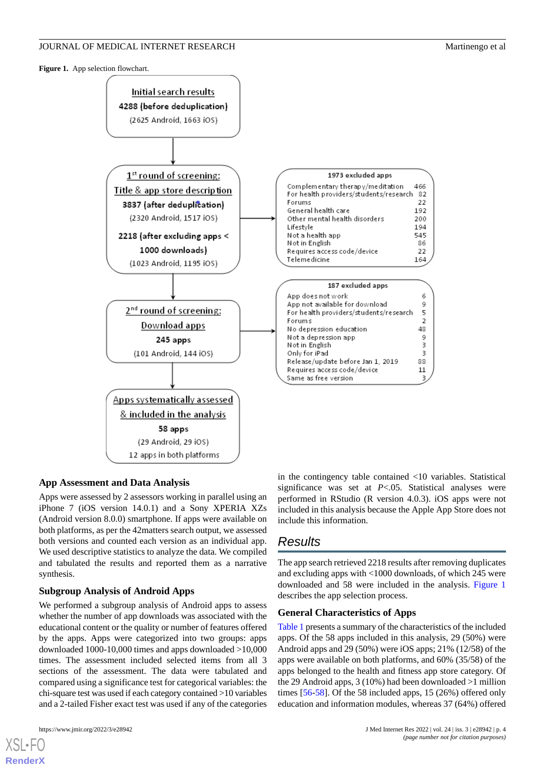<span id="page-3-0"></span>**Figure 1.** App selection flowchart.



### **App Assessment and Data Analysis**

Apps were assessed by 2 assessors working in parallel using an iPhone 7 (iOS version 14.0.1) and a Sony XPERIA XZs (Android version 8.0.0) smartphone. If apps were available on both platforms, as per the 42matters search output, we assessed both versions and counted each version as an individual app. We used descriptive statistics to analyze the data. We compiled and tabulated the results and reported them as a narrative synthesis.

### **Subgroup Analysis of Android Apps**

We performed a subgroup analysis of Android apps to assess whether the number of app downloads was associated with the educational content or the quality or number of features offered by the apps. Apps were categorized into two groups: apps downloaded 1000-10,000 times and apps downloaded >10,000 times. The assessment included selected items from all 3 sections of the assessment. The data were tabulated and compared using a significance test for categorical variables: the chi-square test was used if each category contained >10 variables and a 2-tailed Fisher exact test was used if any of the categories

[XSL](http://www.w3.org/Style/XSL)•FO **[RenderX](http://www.renderx.com/)**

in the contingency table contained <10 variables. Statistical significance was set at *P*<.05. Statistical analyses were performed in RStudio (R version 4.0.3). iOS apps were not included in this analysis because the Apple App Store does not include this information.

# *Results*

The app search retrieved 2218 results after removing duplicates and excluding apps with <1000 downloads, of which 245 were downloaded and 58 were included in the analysis. [Figure 1](#page-3-0) describes the app selection process.

### **General Characteristics of Apps**

[Table 1](#page-4-0) presents a summary of the characteristics of the included apps. Of the 58 apps included in this analysis, 29 (50%) were Android apps and 29 (50%) were iOS apps; 21% (12/58) of the apps were available on both platforms, and 60% (35/58) of the apps belonged to the health and fitness app store category. Of the 29 Android apps, 3 (10%) had been downloaded >1 million times [\[56](#page-14-10)[-58](#page-14-11)]. Of the 58 included apps, 15 (26%) offered only education and information modules, whereas 37 (64%) offered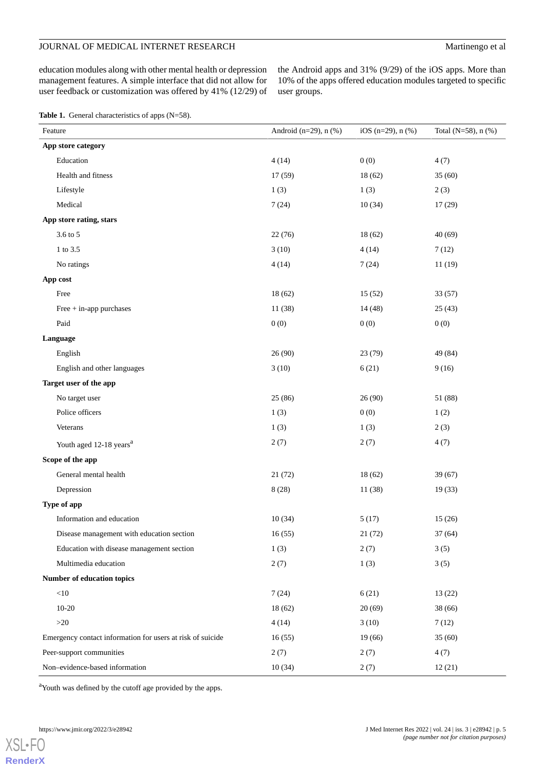# JOURNAL OF MEDICAL INTERNET RESEARCH Martinengo et al

education modules along with other mental health or depression management features. A simple interface that did not allow for user feedback or customization was offered by 41% (12/29) of

the Android apps and 31% (9/29) of the iOS apps. More than 10% of the apps offered education modules targeted to specific user groups.

<span id="page-4-0"></span>Table 1. General characteristics of apps (N=58).

| Feature                                                    | Android (n=29), n (%) | iOS (n=29), $n$ (%) | Total (N=58), n (%) |
|------------------------------------------------------------|-----------------------|---------------------|---------------------|
| App store category                                         |                       |                     |                     |
| Education                                                  | 4(14)                 | 0(0)                | 4(7)                |
| Health and fitness                                         | 17 (59)               | 18(62)              | 35(60)              |
| Lifestyle                                                  | 1(3)                  | 1(3)                | 2(3)                |
| Medical                                                    | 7(24)                 | 10(34)              | 17(29)              |
| App store rating, stars                                    |                       |                     |                     |
| 3.6 to 5                                                   | 22(76)                | 18(62)              | 40(69)              |
| 1 to 3.5                                                   | 3(10)                 | 4(14)               | 7(12)               |
| No ratings                                                 | 4(14)                 | 7(24)               | 11(19)              |
| App cost                                                   |                       |                     |                     |
| Free                                                       | 18 (62)               | 15(52)              | 33(57)              |
| Free + in-app purchases                                    | 11 (38)               | 14(48)              | 25(43)              |
| Paid                                                       | 0(0)                  | 0(0)                | 0(0)                |
| Language                                                   |                       |                     |                     |
| English                                                    | 26 (90)               | 23(79)              | 49 (84)             |
| English and other languages                                | 3(10)                 | 6(21)               | 9(16)               |
| Target user of the app                                     |                       |                     |                     |
| No target user                                             | 25 (86)               | 26(90)              | 51 (88)             |
| Police officers                                            | 1(3)                  | 0(0)                | 1(2)                |
| Veterans                                                   | 1(3)                  | 1(3)                | 2(3)                |
| Youth aged 12-18 years <sup>a</sup>                        | 2(7)                  | 2(7)                | 4(7)                |
| Scope of the app                                           |                       |                     |                     |
| General mental health                                      | 21(72)                | 18(62)              | 39(67)              |
| Depression                                                 | 8(28)                 | 11(38)              | 19(33)              |
| Type of app                                                |                       |                     |                     |
| Information and education                                  | 10(34)                | 5(17)               | 15(26)              |
| Disease management with education section                  | 16(55)                | 21(72)              | 37 (64)             |
| Education with disease management section                  | 1(3)                  | 2(7)                | 3(5)                |
| Multimedia education                                       | 2(7)                  | 1(3)                | 3(5)                |
| Number of education topics                                 |                       |                     |                     |
| $<\!\!10$                                                  | 7(24)                 | 6(21)               | 13(22)              |
| $10-20$                                                    | 18 (62)               | 20(69)              | 38 (66)             |
| ${>}20$                                                    | 4(14)                 | 3(10)               | 7(12)               |
| Emergency contact information for users at risk of suicide | 16(55)                | 19(66)              | 35(60)              |
| Peer-support communities                                   | 2(7)                  | 2(7)                | 4(7)                |
| Non-evidence-based information                             | 10(34)                | 2(7)                | 12(21)              |

<sup>a</sup>Youth was defined by the cutoff age provided by the apps.

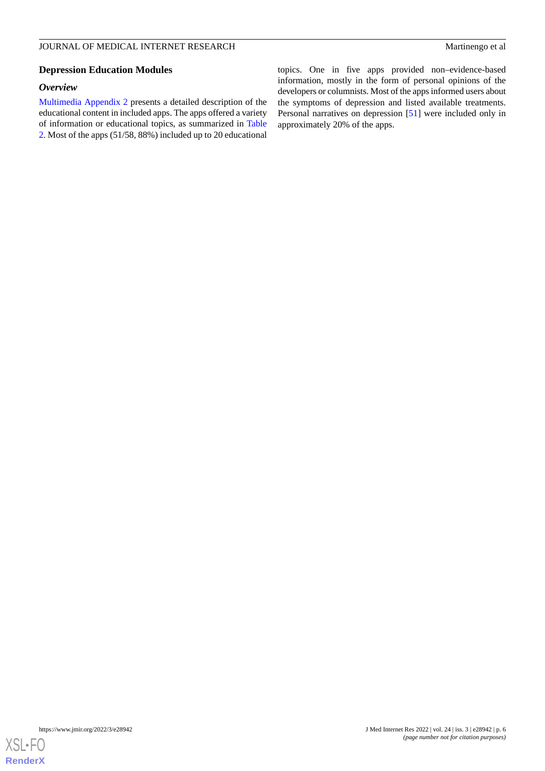# **Depression Education Modules**

# *Overview*

[Multimedia Appendix 2](#page-12-18) presents a detailed description of the educational content in included apps. The apps offered a variety of information or educational topics, as summarized in [Table](#page-6-0) [2.](#page-6-0) Most of the apps (51/58, 88%) included up to 20 educational topics. One in five apps provided non–evidence-based information, mostly in the form of personal opinions of the developers or columnists. Most of the apps informed users about the symptoms of depression and listed available treatments. Personal narratives on depression [[51\]](#page-14-5) were included only in approximately 20% of the apps.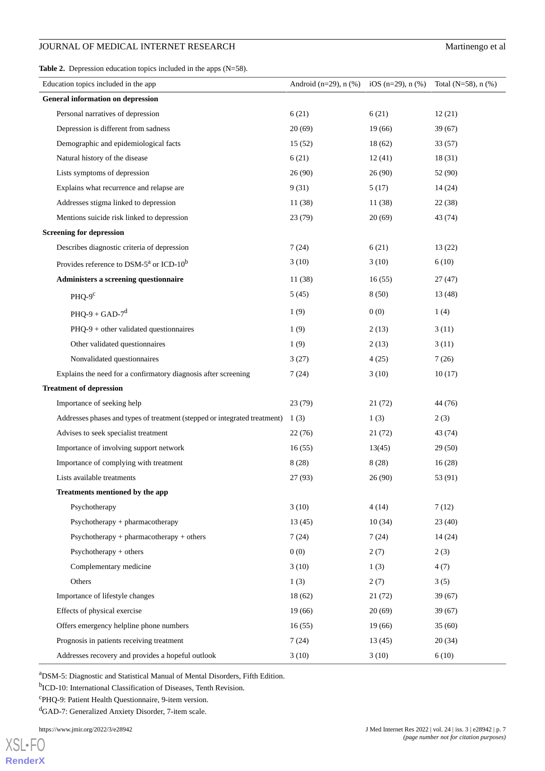# JOURNAL OF MEDICAL INTERNET RESEARCH Martinengo et al

<span id="page-6-0"></span>**Table 2.** Depression education topics included in the apps (N=58).

| Education topics included in the app                                      | Android (n=29), n $(\%)$ iOS (n=29), n $(\%)$ |        | Total (N=58), $n$ (%) |
|---------------------------------------------------------------------------|-----------------------------------------------|--------|-----------------------|
| <b>General information on depression</b>                                  |                                               |        |                       |
| Personal narratives of depression                                         | 6(21)                                         | 6(21)  | 12(21)                |
| Depression is different from sadness                                      | 20(69)                                        | 19(66) | 39(67)                |
| Demographic and epidemiological facts                                     | 15(52)                                        | 18(62) | 33 (57)               |
| Natural history of the disease                                            | 6(21)                                         | 12(41) | 18(31)                |
| Lists symptoms of depression                                              | 26(90)                                        | 26(90) | 52 (90)               |
| Explains what recurrence and relapse are                                  | 9(31)                                         | 5(17)  | 14(24)                |
| Addresses stigma linked to depression                                     | 11(38)                                        | 11(38) | 22(38)                |
| Mentions suicide risk linked to depression                                | 23(79)                                        | 20(69) | 43 (74)               |
| <b>Screening for depression</b>                                           |                                               |        |                       |
| Describes diagnostic criteria of depression                               | 7(24)                                         | 6(21)  | 13(22)                |
| Provides reference to DSM-5 <sup>a</sup> or ICD-10 <sup>b</sup>           | 3(10)                                         | 3(10)  | 6(10)                 |
| Administers a screening questionnaire                                     | 11 (38)                                       | 16(55) | 27(47)                |
| $PHQ-9c$                                                                  | 5(45)                                         | 8(50)  | 13 (48)               |
| $PHQ-9+GAD-7^d$                                                           | 1(9)                                          | 0(0)   | 1(4)                  |
| PHQ-9 + other validated questionnaires                                    | 1(9)                                          | 2(13)  | 3(11)                 |
| Other validated questionnaires                                            | 1(9)                                          | 2(13)  | 3(11)                 |
| Nonvalidated questionnaires                                               | 3(27)                                         | 4(25)  | 7(26)                 |
| Explains the need for a confirmatory diagnosis after screening            | 7(24)                                         | 3(10)  | 10(17)                |
| <b>Treatment of depression</b>                                            |                                               |        |                       |
| Importance of seeking help                                                | 23(79)                                        | 21(72) | 44 (76)               |
| Addresses phases and types of treatment (stepped or integrated treatment) | 1(3)                                          | 1(3)   | 2(3)                  |
| Advises to seek specialist treatment                                      | 22(76)                                        | 21(72) | 43 (74)               |
| Importance of involving support network                                   | 16(55)                                        | 13(45) | 29(50)                |
| Importance of complying with treatment                                    | 8(28)                                         | 8(28)  | 16(28)                |
| Lists available treatments                                                | 27 (93)                                       | 26(90) | 53 (91)               |
| Treatments mentioned by the app                                           |                                               |        |                       |
| Psychotherapy                                                             | 3(10)                                         | 4(14)  | 7(12)                 |
| Psychotherapy + pharmacotherapy                                           | 13(45)                                        | 10(34) | 23(40)                |
| $Psychotherapy + pharmacotherapy + others$                                | 7(24)                                         | 7(24)  | 14(24)                |
| $Psychotherapy + others$                                                  | 0(0)                                          | 2(7)   | 2(3)                  |
| Complementary medicine                                                    | 3(10)                                         | 1(3)   | 4(7)                  |
| Others                                                                    | 1(3)                                          | 2(7)   | 3(5)                  |
| Importance of lifestyle changes                                           | 18(62)                                        | 21(72) | 39(67)                |
| Effects of physical exercise                                              | 19(66)                                        | 20(69) | 39(67)                |
| Offers emergency helpline phone numbers                                   | 16(55)                                        | 19(66) | 35(60)                |
| Prognosis in patients receiving treatment                                 | 7(24)                                         | 13(45) | 20(34)                |
| Addresses recovery and provides a hopeful outlook                         | 3(10)                                         | 3(10)  | 6(10)                 |

<sup>a</sup>DSM-5: Diagnostic and Statistical Manual of Mental Disorders, Fifth Edition.

<sup>b</sup>ICD-10: International Classification of Diseases, Tenth Revision.

<sup>c</sup>PHQ-9: Patient Health Questionnaire, 9-item version.

<sup>d</sup>GAD-7: Generalized Anxiety Disorder, 7-item scale.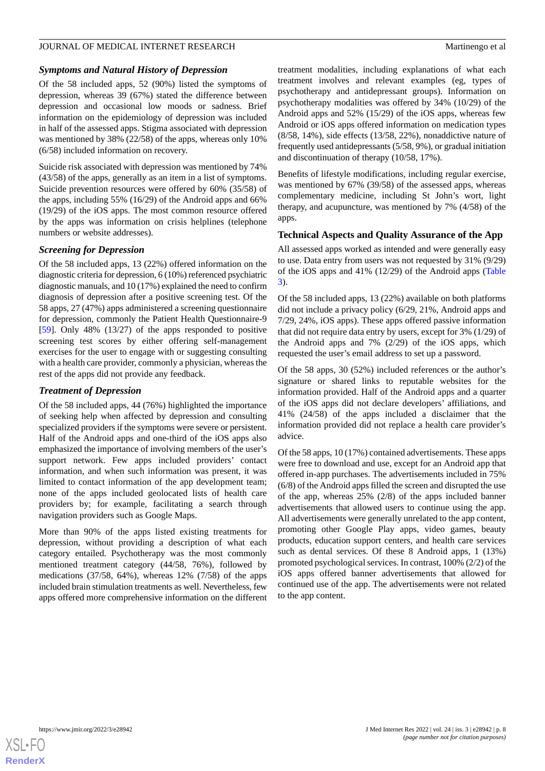# *Symptoms and Natural History of Depression*

Of the 58 included apps, 52 (90%) listed the symptoms of depression, whereas 39 (67%) stated the difference between depression and occasional low moods or sadness. Brief information on the epidemiology of depression was included in half of the assessed apps. Stigma associated with depression was mentioned by 38% (22/58) of the apps, whereas only 10% (6/58) included information on recovery.

Suicide risk associated with depression was mentioned by 74% (43/58) of the apps, generally as an item in a list of symptoms. Suicide prevention resources were offered by 60% (35/58) of the apps, including 55% (16/29) of the Android apps and 66% (19/29) of the iOS apps. The most common resource offered by the apps was information on crisis helplines (telephone numbers or website addresses).

### *Screening for Depression*

Of the 58 included apps, 13 (22%) offered information on the diagnostic criteria for depression, 6 (10%) referenced psychiatric diagnostic manuals, and 10 (17%) explained the need to confirm diagnosis of depression after a positive screening test. Of the 58 apps, 27 (47%) apps administered a screening questionnaire for depression, commonly the Patient Health Questionnaire-9 [[59\]](#page-14-12). Only 48% (13/27) of the apps responded to positive screening test scores by either offering self-management exercises for the user to engage with or suggesting consulting with a health care provider, commonly a physician, whereas the rest of the apps did not provide any feedback.

#### *Treatment of Depression*

Of the 58 included apps, 44 (76%) highlighted the importance of seeking help when affected by depression and consulting specialized providers if the symptoms were severe or persistent. Half of the Android apps and one-third of the iOS apps also emphasized the importance of involving members of the user's support network. Few apps included providers' contact information, and when such information was present, it was limited to contact information of the app development team; none of the apps included geolocated lists of health care providers by; for example, facilitating a search through navigation providers such as Google Maps.

More than 90% of the apps listed existing treatments for depression, without providing a description of what each category entailed. Psychotherapy was the most commonly mentioned treatment category (44/58, 76%), followed by medications (37/58, 64%), whereas 12% (7/58) of the apps included brain stimulation treatments as well. Nevertheless, few apps offered more comprehensive information on the different

treatment modalities, including explanations of what each treatment involves and relevant examples (eg, types of psychotherapy and antidepressant groups). Information on psychotherapy modalities was offered by 34% (10/29) of the Android apps and 52% (15/29) of the iOS apps, whereas few Android or iOS apps offered information on medication types (8/58, 14%), side effects (13/58, 22%), nonaddictive nature of frequently used antidepressants (5/58, 9%), or gradual initiation and discontinuation of therapy (10/58, 17%).

Benefits of lifestyle modifications, including regular exercise, was mentioned by 67% (39/58) of the assessed apps, whereas complementary medicine, including St John's wort, light therapy, and acupuncture, was mentioned by 7% (4/58) of the apps.

### **Technical Aspects and Quality Assurance of the App**

All assessed apps worked as intended and were generally easy to use. Data entry from users was not requested by 31% (9/29) of the iOS apps and 41% (12/29) of the Android apps ([Table](#page-8-0) [3\)](#page-8-0).

Of the 58 included apps, 13 (22%) available on both platforms did not include a privacy policy (6/29, 21%, Android apps and 7/29, 24%, iOS apps). These apps offered passive information that did not require data entry by users, except for 3% (1/29) of the Android apps and 7% (2/29) of the iOS apps, which requested the user's email address to set up a password.

Of the 58 apps, 30 (52%) included references or the author's signature or shared links to reputable websites for the information provided. Half of the Android apps and a quarter of the iOS apps did not declare developers' affiliations, and 41% (24/58) of the apps included a disclaimer that the information provided did not replace a health care provider's advice.

Of the 58 apps, 10 (17%) contained advertisements. These apps were free to download and use, except for an Android app that offered in-app purchases. The advertisements included in 75% (6/8) of the Android apps filled the screen and disrupted the use of the app, whereas 25% (2/8) of the apps included banner advertisements that allowed users to continue using the app. All advertisements were generally unrelated to the app content, promoting other Google Play apps, video games, beauty products, education support centers, and health care services such as dental services. Of these 8 Android apps, 1 (13%) promoted psychological services. In contrast, 100% (2/2) of the iOS apps offered banner advertisements that allowed for continued use of the app. The advertisements were not related to the app content.

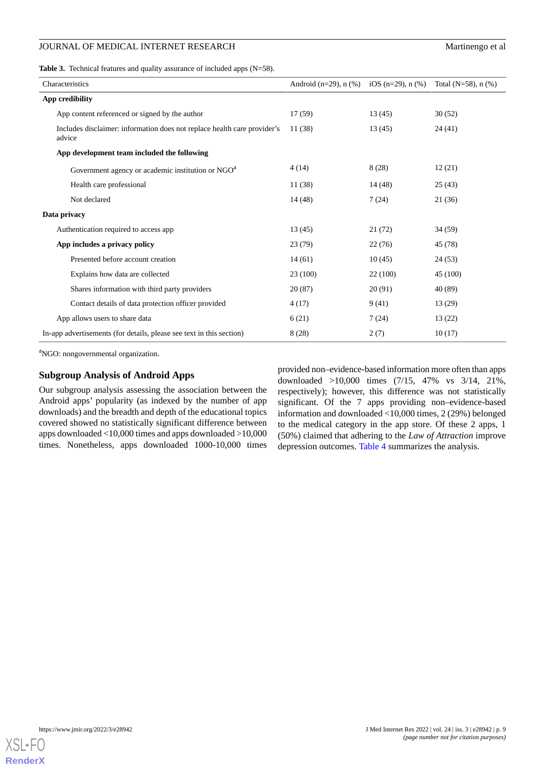<span id="page-8-0"></span>**Table 3.** Technical features and quality assurance of included apps (N=58).

| Characteristics                                                                    | Android $(n=29)$ , n $(\%)$ | iOS (n=29), n $(\%)$ | Total (N=58), $n$ (%) |
|------------------------------------------------------------------------------------|-----------------------------|----------------------|-----------------------|
| App credibility                                                                    |                             |                      |                       |
| App content referenced or signed by the author                                     | 17(59)                      | 13(45)               | 30(52)                |
| Includes disclaimer: information does not replace health care provider's<br>advice | 11(38)                      | 13(45)               | 24(41)                |
| App development team included the following                                        |                             |                      |                       |
| Government agency or academic institution or NGO <sup>a</sup>                      | 4(14)                       | 8 (28)               | 12(21)                |
| Health care professional                                                           | 11(38)                      | 14(48)               | 25(43)                |
| Not declared                                                                       | 14(48)                      | 7(24)                | 21(36)                |
| Data privacy                                                                       |                             |                      |                       |
| Authentication required to access app                                              | 13(45)                      | 21(72)               | 34(59)                |
| App includes a privacy policy                                                      | 23(79)                      | 22(76)               | 45 (78)               |
| Presented before account creation                                                  | 14(61)                      | 10(45)               | 24(53)                |
| Explains how data are collected                                                    | 23 (100)                    | 22 (100)             | 45 (100)              |
| Shares information with third party providers                                      | 20(87)                      | 20(91)               | 40 (89)               |
| Contact details of data protection officer provided                                | 4(17)                       | 9(41)                | 13(29)                |
| App allows users to share data                                                     | 6(21)                       | 7(24)                | 13(22)                |
| In-app advertisements (for details, please see text in this section)               | 8(28)                       | 2(7)                 | 10(17)                |

<sup>a</sup>NGO: nongovernmental organization.

## **Subgroup Analysis of Android Apps**

Our subgroup analysis assessing the association between the Android apps' popularity (as indexed by the number of app downloads) and the breadth and depth of the educational topics covered showed no statistically significant difference between apps downloaded <10,000 times and apps downloaded >10,000 times. Nonetheless, apps downloaded 1000-10,000 times

provided non–evidence-based information more often than apps downloaded >10,000 times (7/15, 47% vs 3/14, 21%, respectively); however, this difference was not statistically significant. Of the 7 apps providing non–evidence-based information and downloaded <10,000 times, 2 (29%) belonged to the medical category in the app store. Of these 2 apps, 1 (50%) claimed that adhering to the *Law of Attraction* improve depression outcomes. [Table 4](#page-9-0) summarizes the analysis.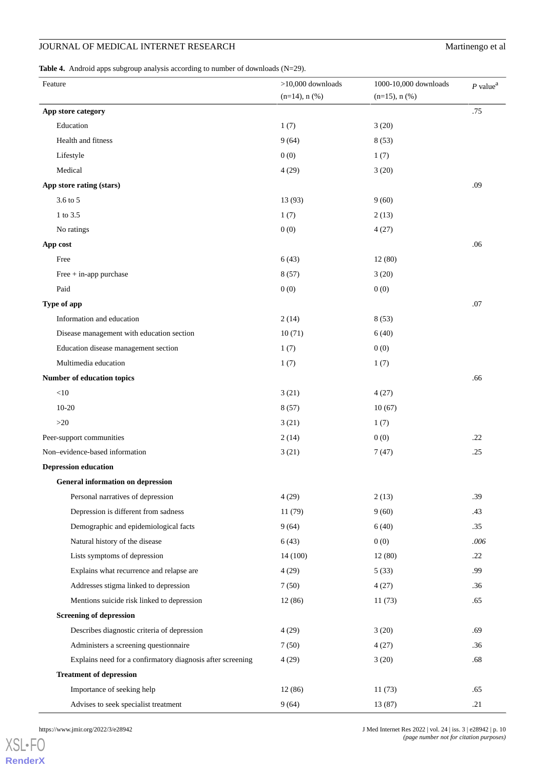# **JOURNAL OF MEDICAL INTERNET RESEARCH Martinengo et al.**

<span id="page-9-0"></span>Table 4. Android apps subgroup analysis according to number of downloads (N=29).

| Feature                                                    | $>10,000$ downloads | 1000-10,000 downloads | $P$ value <sup><math>a</math></sup> |
|------------------------------------------------------------|---------------------|-----------------------|-------------------------------------|
|                                                            | $(n=14)$ , n $(\%)$ | $(n=15)$ , n $(\%)$   |                                     |
| App store category                                         |                     |                       | .75                                 |
| Education                                                  | 1(7)                | 3(20)                 |                                     |
| Health and fitness                                         | 9(64)               | 8(53)                 |                                     |
| Lifestyle                                                  | 0(0)                | 1(7)                  |                                     |
| Medical                                                    | 4(29)               | 3(20)                 |                                     |
| App store rating (stars)                                   |                     |                       | .09                                 |
| 3.6 to 5                                                   | 13 (93)             | 9(60)                 |                                     |
| 1 to 3.5                                                   | 1(7)                | 2(13)                 |                                     |
| No ratings                                                 | 0(0)                | 4(27)                 |                                     |
| App cost                                                   |                     |                       | .06                                 |
| Free                                                       | 6(43)               | 12(80)                |                                     |
| Free $+$ in-app purchase                                   | 8(57)               | 3(20)                 |                                     |
| Paid                                                       | 0(0)                | 0(0)                  |                                     |
| Type of app                                                |                     |                       | .07                                 |
| Information and education                                  | 2(14)               | 8(53)                 |                                     |
| Disease management with education section                  | 10(71)              | 6(40)                 |                                     |
| Education disease management section                       | 1(7)                | 0(0)                  |                                     |
| Multimedia education                                       | 1(7)                | 1(7)                  |                                     |
| Number of education topics                                 |                     |                       | .66                                 |
| $<\!\!10$                                                  | 3(21)               | 4(27)                 |                                     |
| $10 - 20$                                                  | 8(57)               | 10(67)                |                                     |
| $>20$                                                      | 3(21)               | 1(7)                  |                                     |
| Peer-support communities                                   | 2(14)               | 0(0)                  | .22                                 |
| Non-evidence-based information                             | 3(21)               | 7(47)                 | .25                                 |
| <b>Depression education</b>                                |                     |                       |                                     |
| <b>General information on depression</b>                   |                     |                       |                                     |
| Personal narratives of depression                          | 4(29)               | 2(13)                 | .39                                 |
| Depression is different from sadness                       | 11 (79)             | 9(60)                 | .43                                 |
| Demographic and epidemiological facts                      | 9(64)               | 6(40)                 | .35                                 |
| Natural history of the disease                             | 6(43)               | 0(0)                  | .006                                |
| Lists symptoms of depression                               | 14 (100)            | 12(80)                | .22                                 |
| Explains what recurrence and relapse are                   | 4(29)               | 5(33)                 | .99                                 |
| Addresses stigma linked to depression                      | 7(50)               | 4(27)                 | .36                                 |
| Mentions suicide risk linked to depression                 | 12 (86)             | 11(73)                | .65                                 |
| <b>Screening of depression</b>                             |                     |                       |                                     |
| Describes diagnostic criteria of depression                | 4(29)               | 3(20)                 | .69                                 |
| Administers a screening questionnaire                      | 7(50)               | 4(27)                 | .36                                 |
| Explains need for a confirmatory diagnosis after screening | 4(29)               | 3(20)                 | .68                                 |
| <b>Treatment of depression</b>                             |                     |                       |                                     |
| Importance of seeking help                                 | 12(86)              | 11(73)                | .65                                 |
| Advises to seek specialist treatment                       | 9(64)               | 13 (87)               | .21                                 |

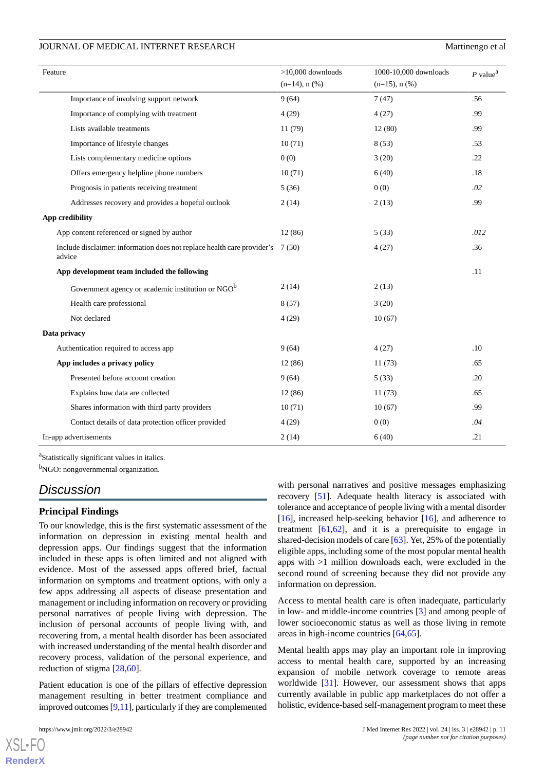| Feature                                                                           | $>10,000$ downloads | 1000-10,000 downloads | $P$ value <sup>a</sup> |
|-----------------------------------------------------------------------------------|---------------------|-----------------------|------------------------|
|                                                                                   | $(n=14)$ , n $(\%)$ | $(n=15)$ , n $(\%)$   |                        |
| Importance of involving support network                                           | 9(64)               | 7(47)                 | .56                    |
| Importance of complying with treatment                                            | 4(29)               | 4(27)                 | .99                    |
| Lists available treatments                                                        | 11 (79)             | 12(80)                | .99                    |
| Importance of lifestyle changes                                                   | 10(71)              | 8(53)                 | .53                    |
| Lists complementary medicine options                                              | 0(0)                | 3(20)                 | .22                    |
| Offers emergency helpline phone numbers                                           | 10(71)              | 6(40)                 | .18                    |
| Prognosis in patients receiving treatment                                         | 5(36)               | 0(0)                  | .02                    |
| Addresses recovery and provides a hopeful outlook                                 | 2(14)               | 2(13)                 | .99                    |
| App credibility                                                                   |                     |                       |                        |
| App content referenced or signed by author                                        | 12 (86)             | 5(33)                 | .012                   |
| Include disclaimer: information does not replace health care provider's<br>advice | 7(50)               | 4(27)                 | .36                    |
| App development team included the following                                       |                     |                       | .11                    |
| Government agency or academic institution or NGO <sup>b</sup>                     | 2(14)               | 2(13)                 |                        |
| Health care professional                                                          | 8(57)               | 3(20)                 |                        |
| Not declared                                                                      | 4(29)               | 10(67)                |                        |
| Data privacy                                                                      |                     |                       |                        |
| Authentication required to access app                                             | 9(64)               | 4(27)                 | .10                    |
| App includes a privacy policy                                                     | 12(86)              | 11(73)                | .65                    |
| Presented before account creation                                                 | 9(64)               | 5(33)                 | .20                    |
| Explains how data are collected                                                   | 12 (86)             | 11(73)                | .65                    |
| Shares information with third party providers                                     | 10(71)              | 10(67)                | .99                    |
| Contact details of data protection officer provided                               | 4(29)               | 0(0)                  | .04                    |
| In-app advertisements                                                             | 2(14)               | 6(40)                 | .21                    |

<sup>a</sup>Statistically significant values in italics. <sup>b</sup>NGO: nongovernmental organization.

# *Discussion*

# **Principal Findings**

To our knowledge, this is the first systematic assessment of the information on depression in existing mental health and depression apps. Our findings suggest that the information included in these apps is often limited and not aligned with evidence. Most of the assessed apps offered brief, factual information on symptoms and treatment options, with only a few apps addressing all aspects of disease presentation and management or including information on recovery or providing personal narratives of people living with depression. The inclusion of personal accounts of people living with, and recovering from, a mental health disorder has been associated with increased understanding of the mental health disorder and recovery process, validation of the personal experience, and reduction of stigma [\[28](#page-13-6),[60\]](#page-14-13).

Patient education is one of the pillars of effective depression management resulting in better treatment compliance and improved outcomes [[9](#page-12-7)[,11\]](#page-12-17), particularly if they are complemented

 $X$ SL•FO **[RenderX](http://www.renderx.com/)** with personal narratives and positive messages emphasizing recovery [[51\]](#page-14-5). Adequate health literacy is associated with tolerance and acceptance of people living with a mental disorder [[16\]](#page-12-12), increased help-seeking behavior [16], and adherence to treatment  $[61,62]$  $[61,62]$  $[61,62]$ , and it is a prerequisite to engage in shared-decision models of care [\[63](#page-14-16)]. Yet, 25% of the potentially eligible apps, including some of the most popular mental health apps with >1 million downloads each, were excluded in the second round of screening because they did not provide any information on depression.

Access to mental health care is often inadequate, particularly in low- and middle-income countries [\[3](#page-12-2)] and among people of lower socioeconomic status as well as those living in remote areas in high-income countries [\[64](#page-14-17),[65\]](#page-14-18).

Mental health apps may play an important role in improving access to mental health care, supported by an increasing expansion of mobile network coverage to remote areas worldwide [\[31](#page-13-9)]. However, our assessment shows that apps currently available in public app marketplaces do not offer a holistic, evidence-based self-management program to meet these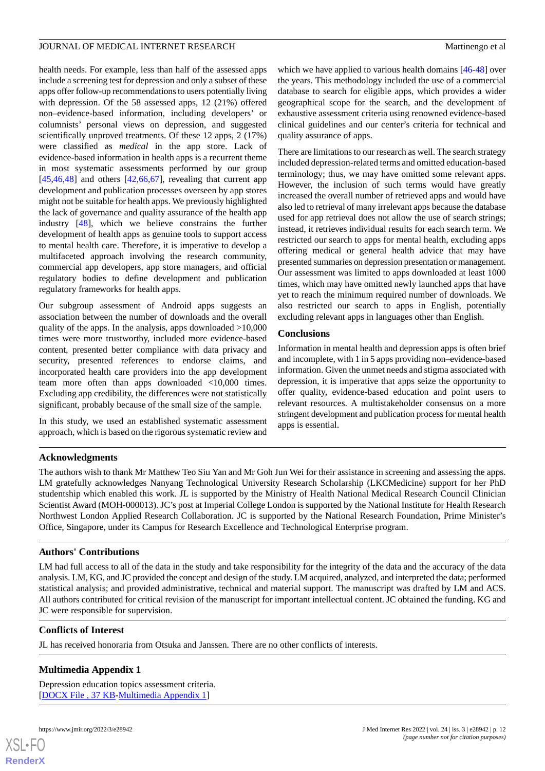health needs. For example, less than half of the assessed apps include a screening test for depression and only a subset of these apps offer follow-up recommendations to users potentially living with depression. Of the 58 assessed apps, 12 (21%) offered non–evidence-based information, including developers' or columnists' personal views on depression, and suggested scientifically unproved treatments. Of these 12 apps, 2 (17%) were classified as *medical* in the app store. Lack of evidence-based information in health apps is a recurrent theme in most systematic assessments performed by our group  $[45,46,48]$  $[45,46,48]$  $[45,46,48]$  $[45,46,48]$  $[45,46,48]$  and others  $[42,66,67]$  $[42,66,67]$  $[42,66,67]$  $[42,66,67]$  $[42,66,67]$ , revealing that current app development and publication processes overseen by app stores might not be suitable for health apps. We previously highlighted the lack of governance and quality assurance of the health app industry [\[48](#page-14-2)], which we believe constrains the further development of health apps as genuine tools to support access to mental health care. Therefore, it is imperative to develop a multifaceted approach involving the research community, commercial app developers, app store managers, and official regulatory bodies to define development and publication regulatory frameworks for health apps.

Our subgroup assessment of Android apps suggests an association between the number of downloads and the overall quality of the apps. In the analysis, apps downloaded >10,000 times were more trustworthy, included more evidence-based content, presented better compliance with data privacy and security, presented references to endorse claims, and incorporated health care providers into the app development team more often than apps downloaded <10,000 times. Excluding app credibility, the differences were not statistically significant, probably because of the small size of the sample.

In this study, we used an established systematic assessment approach, which is based on the rigorous systematic review and

which we have applied to various health domains [\[46](#page-14-19)-[48\]](#page-14-2) over the years. This methodology included the use of a commercial database to search for eligible apps, which provides a wider geographical scope for the search, and the development of exhaustive assessment criteria using renowned evidence-based clinical guidelines and our center's criteria for technical and quality assurance of apps.

There are limitations to our research as well. The search strategy included depression-related terms and omitted education-based terminology; thus, we may have omitted some relevant apps. However, the inclusion of such terms would have greatly increased the overall number of retrieved apps and would have also led to retrieval of many irrelevant apps because the database used for app retrieval does not allow the use of search strings; instead, it retrieves individual results for each search term. We restricted our search to apps for mental health, excluding apps offering medical or general health advice that may have presented summaries on depression presentation or management. Our assessment was limited to apps downloaded at least 1000 times, which may have omitted newly launched apps that have yet to reach the minimum required number of downloads. We also restricted our search to apps in English, potentially excluding relevant apps in languages other than English.

### **Conclusions**

Information in mental health and depression apps is often brief and incomplete, with 1 in 5 apps providing non–evidence-based information. Given the unmet needs and stigma associated with depression, it is imperative that apps seize the opportunity to offer quality, evidence-based education and point users to relevant resources. A multistakeholder consensus on a more stringent development and publication process for mental health apps is essential.

# **Acknowledgments**

The authors wish to thank Mr Matthew Teo Siu Yan and Mr Goh Jun Wei for their assistance in screening and assessing the apps. LM gratefully acknowledges Nanyang Technological University Research Scholarship (LKCMedicine) support for her PhD studentship which enabled this work. JL is supported by the Ministry of Health National Medical Research Council Clinician Scientist Award (MOH-000013). JC's post at Imperial College London is supported by the National Institute for Health Research Northwest London Applied Research Collaboration. JC is supported by the National Research Foundation, Prime Minister's Office, Singapore, under its Campus for Research Excellence and Technological Enterprise program.

# **Authors' Contributions**

LM had full access to all of the data in the study and take responsibility for the integrity of the data and the accuracy of the data analysis. LM, KG, and JC provided the concept and design of the study. LM acquired, analyzed, and interpreted the data; performed statistical analysis; and provided administrative, technical and material support. The manuscript was drafted by LM and ACS. All authors contributed for critical revision of the manuscript for important intellectual content. JC obtained the funding. KG and JC were responsible for supervision.

### <span id="page-11-0"></span>**Conflicts of Interest**

JL has received honoraria from Otsuka and Janssen. There are no other conflicts of interests.

# **Multimedia Appendix 1**

Depression education topics assessment criteria. [[DOCX File , 37 KB](https://jmir.org/api/download?alt_name=jmir_v24i3e28942_app1.docx&filename=97ff221822ccbbf2d5374de14ea5d19e.docx)-[Multimedia Appendix 1\]](https://jmir.org/api/download?alt_name=jmir_v24i3e28942_app1.docx&filename=97ff221822ccbbf2d5374de14ea5d19e.docx)

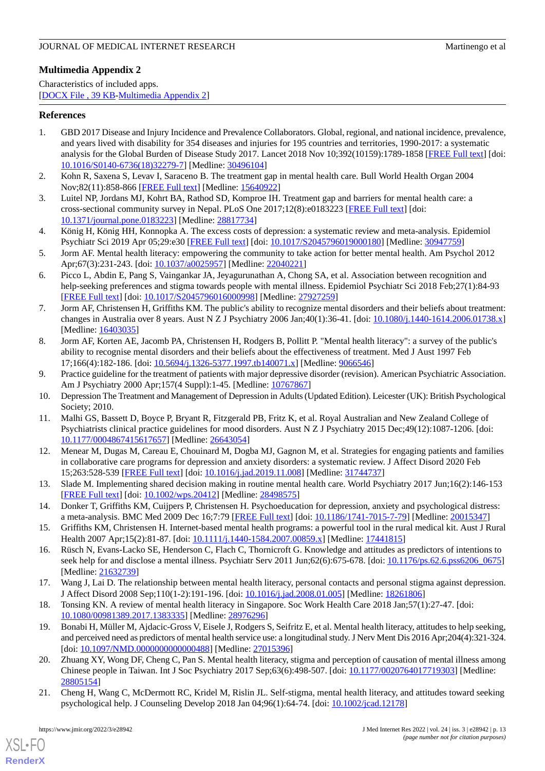# <span id="page-12-18"></span>**Multimedia Appendix 2**

Characteristics of included apps. [[DOCX File , 39 KB](https://jmir.org/api/download?alt_name=jmir_v24i3e28942_app2.docx&filename=f50205603668c479525389db054e1462.docx)-[Multimedia Appendix 2\]](https://jmir.org/api/download?alt_name=jmir_v24i3e28942_app2.docx&filename=f50205603668c479525389db054e1462.docx)

# <span id="page-12-0"></span>**References**

- 1. GBD 2017 Disease and Injury Incidence and Prevalence Collaborators. Global, regional, and national incidence, prevalence, and years lived with disability for 354 diseases and injuries for 195 countries and territories, 1990-2017: a systematic analysis for the Global Burden of Disease Study 2017. Lancet 2018 Nov 10;392(10159):1789-1858 [\[FREE Full text](https://linkinghub.elsevier.com/retrieve/pii/S0140-6736(18)32279-7)] [doi: [10.1016/S0140-6736\(18\)32279-7\]](http://dx.doi.org/10.1016/S0140-6736(18)32279-7) [Medline: [30496104](http://www.ncbi.nlm.nih.gov/entrez/query.fcgi?cmd=Retrieve&db=PubMed&list_uids=30496104&dopt=Abstract)]
- <span id="page-12-2"></span><span id="page-12-1"></span>2. Kohn R, Saxena S, Levav I, Saraceno B. The treatment gap in mental health care. Bull World Health Organ 2004 Nov;82(11):858-866 [[FREE Full text](http://europepmc.org/abstract/MED/15640922)] [Medline: [15640922](http://www.ncbi.nlm.nih.gov/entrez/query.fcgi?cmd=Retrieve&db=PubMed&list_uids=15640922&dopt=Abstract)]
- <span id="page-12-3"></span>3. Luitel NP, Jordans MJ, Kohrt BA, Rathod SD, Komproe IH. Treatment gap and barriers for mental health care: a cross-sectional community survey in Nepal. PLoS One 2017;12(8):e0183223 [[FREE Full text](https://dx.plos.org/10.1371/journal.pone.0183223)] [doi: [10.1371/journal.pone.0183223\]](http://dx.doi.org/10.1371/journal.pone.0183223) [Medline: [28817734](http://www.ncbi.nlm.nih.gov/entrez/query.fcgi?cmd=Retrieve&db=PubMed&list_uids=28817734&dopt=Abstract)]
- <span id="page-12-4"></span>4. König H, König HH, Konnopka A. The excess costs of depression: a systematic review and meta-analysis. Epidemiol Psychiatr Sci 2019 Apr 05;29:e30 [[FREE Full text](http://europepmc.org/abstract/MED/30947759)] [doi: [10.1017/S2045796019000180](http://dx.doi.org/10.1017/S2045796019000180)] [Medline: [30947759](http://www.ncbi.nlm.nih.gov/entrez/query.fcgi?cmd=Retrieve&db=PubMed&list_uids=30947759&dopt=Abstract)]
- <span id="page-12-14"></span>5. Jorm AF. Mental health literacy: empowering the community to take action for better mental health. Am Psychol 2012 Apr;67(3):231-243. [doi: [10.1037/a0025957\]](http://dx.doi.org/10.1037/a0025957) [Medline: [22040221\]](http://www.ncbi.nlm.nih.gov/entrez/query.fcgi?cmd=Retrieve&db=PubMed&list_uids=22040221&dopt=Abstract)
- <span id="page-12-5"></span>6. Picco L, Abdin E, Pang S, Vaingankar JA, Jeyagurunathan A, Chong SA, et al. Association between recognition and help-seeking preferences and stigma towards people with mental illness. Epidemiol Psychiatr Sci 2018 Feb; 27(1):84-93 [[FREE Full text](http://europepmc.org/abstract/MED/27927259)] [doi: [10.1017/S2045796016000998](http://dx.doi.org/10.1017/S2045796016000998)] [Medline: [27927259](http://www.ncbi.nlm.nih.gov/entrez/query.fcgi?cmd=Retrieve&db=PubMed&list_uids=27927259&dopt=Abstract)]
- <span id="page-12-6"></span>7. Jorm AF, Christensen H, Griffiths KM. The public's ability to recognize mental disorders and their beliefs about treatment: changes in Australia over 8 years. Aust N Z J Psychiatry 2006 Jan;40(1):36-41. [doi: [10.1080/j.1440-1614.2006.01738.x](http://dx.doi.org/10.1080/j.1440-1614.2006.01738.x)] [Medline: [16403035](http://www.ncbi.nlm.nih.gov/entrez/query.fcgi?cmd=Retrieve&db=PubMed&list_uids=16403035&dopt=Abstract)]
- <span id="page-12-7"></span>8. Jorm AF, Korten AE, Jacomb PA, Christensen H, Rodgers B, Pollitt P. "Mental health literacy": a survey of the public's ability to recognise mental disorders and their beliefs about the effectiveness of treatment. Med J Aust 1997 Feb 17;166(4):182-186. [doi: [10.5694/j.1326-5377.1997.tb140071.x\]](http://dx.doi.org/10.5694/j.1326-5377.1997.tb140071.x) [Medline: [9066546](http://www.ncbi.nlm.nih.gov/entrez/query.fcgi?cmd=Retrieve&db=PubMed&list_uids=9066546&dopt=Abstract)]
- <span id="page-12-17"></span>9. Practice guideline for the treatment of patients with major depressive disorder (revision). American Psychiatric Association. Am J Psychiatry 2000 Apr;157(4 Suppl):1-45. [Medline: [10767867](http://www.ncbi.nlm.nih.gov/entrez/query.fcgi?cmd=Retrieve&db=PubMed&list_uids=10767867&dopt=Abstract)]
- <span id="page-12-8"></span>10. Depression The Treatment and Management of Depression in Adults (Updated Edition). Leicester (UK): British Psychological Society; 2010.
- 11. Malhi GS, Bassett D, Boyce P, Bryant R, Fitzgerald PB, Fritz K, et al. Royal Australian and New Zealand College of Psychiatrists clinical practice guidelines for mood disorders. Aust N Z J Psychiatry 2015 Dec;49(12):1087-1206. [doi: [10.1177/0004867415617657\]](http://dx.doi.org/10.1177/0004867415617657) [Medline: [26643054\]](http://www.ncbi.nlm.nih.gov/entrez/query.fcgi?cmd=Retrieve&db=PubMed&list_uids=26643054&dopt=Abstract)
- <span id="page-12-10"></span><span id="page-12-9"></span>12. Menear M, Dugas M, Careau E, Chouinard M, Dogba MJ, Gagnon M, et al. Strategies for engaging patients and families in collaborative care programs for depression and anxiety disorders: a systematic review. J Affect Disord 2020 Feb 15;263:528-539 [\[FREE Full text\]](https://linkinghub.elsevier.com/retrieve/pii/S0165-0327(19)32311-0) [doi: [10.1016/j.jad.2019.11.008](http://dx.doi.org/10.1016/j.jad.2019.11.008)] [Medline: [31744737\]](http://www.ncbi.nlm.nih.gov/entrez/query.fcgi?cmd=Retrieve&db=PubMed&list_uids=31744737&dopt=Abstract)
- <span id="page-12-11"></span>13. Slade M. Implementing shared decision making in routine mental health care. World Psychiatry 2017 Jun;16(2):146-153 [[FREE Full text](https://doi.org/10.1002/wps.20412)] [doi: [10.1002/wps.20412](http://dx.doi.org/10.1002/wps.20412)] [Medline: [28498575](http://www.ncbi.nlm.nih.gov/entrez/query.fcgi?cmd=Retrieve&db=PubMed&list_uids=28498575&dopt=Abstract)]
- <span id="page-12-12"></span>14. Donker T, Griffiths KM, Cuijpers P, Christensen H. Psychoeducation for depression, anxiety and psychological distress: a meta-analysis. BMC Med 2009 Dec 16;7:79 [\[FREE Full text\]](https://bmcmedicine.biomedcentral.com/articles/10.1186/1741-7015-7-79) [doi: [10.1186/1741-7015-7-79](http://dx.doi.org/10.1186/1741-7015-7-79)] [Medline: [20015347](http://www.ncbi.nlm.nih.gov/entrez/query.fcgi?cmd=Retrieve&db=PubMed&list_uids=20015347&dopt=Abstract)]
- 15. Griffiths KM, Christensen H. Internet-based mental health programs: a powerful tool in the rural medical kit. Aust J Rural Health 2007 Apr;15(2):81-87. [doi: [10.1111/j.1440-1584.2007.00859.x](http://dx.doi.org/10.1111/j.1440-1584.2007.00859.x)] [Medline: [17441815\]](http://www.ncbi.nlm.nih.gov/entrez/query.fcgi?cmd=Retrieve&db=PubMed&list_uids=17441815&dopt=Abstract)
- <span id="page-12-15"></span><span id="page-12-13"></span>16. Rüsch N, Evans-Lacko SE, Henderson C, Flach C, Thornicroft G. Knowledge and attitudes as predictors of intentions to seek help for and disclose a mental illness. Psychiatr Serv 2011 Jun;62(6):675-678. [doi: [10.1176/ps.62.6.pss6206\\_0675\]](http://dx.doi.org/10.1176/ps.62.6.pss6206_0675) [Medline: [21632739](http://www.ncbi.nlm.nih.gov/entrez/query.fcgi?cmd=Retrieve&db=PubMed&list_uids=21632739&dopt=Abstract)]
- 17. Wang J, Lai D. The relationship between mental health literacy, personal contacts and personal stigma against depression. J Affect Disord 2008 Sep;110(1-2):191-196. [doi: [10.1016/j.jad.2008.01.005\]](http://dx.doi.org/10.1016/j.jad.2008.01.005) [Medline: [18261806](http://www.ncbi.nlm.nih.gov/entrez/query.fcgi?cmd=Retrieve&db=PubMed&list_uids=18261806&dopt=Abstract)]
- 18. Tonsing KN. A review of mental health literacy in Singapore. Soc Work Health Care 2018 Jan;57(1):27-47. [doi: [10.1080/00981389.2017.1383335\]](http://dx.doi.org/10.1080/00981389.2017.1383335) [Medline: [28976296\]](http://www.ncbi.nlm.nih.gov/entrez/query.fcgi?cmd=Retrieve&db=PubMed&list_uids=28976296&dopt=Abstract)
- <span id="page-12-16"></span>19. Bonabi H, Müller M, Ajdacic-Gross V, Eisele J, Rodgers S, Seifritz E, et al. Mental health literacy, attitudes to help seeking, and perceived need as predictors of mental health service use: a longitudinal study. J Nerv Ment Dis 2016 Apr;204(4):321-324. [doi: [10.1097/NMD.0000000000000488](http://dx.doi.org/10.1097/NMD.0000000000000488)] [Medline: [27015396\]](http://www.ncbi.nlm.nih.gov/entrez/query.fcgi?cmd=Retrieve&db=PubMed&list_uids=27015396&dopt=Abstract)
- 20. Zhuang XY, Wong DF, Cheng C, Pan S. Mental health literacy, stigma and perception of causation of mental illness among Chinese people in Taiwan. Int J Soc Psychiatry 2017 Sep;63(6):498-507. [doi: [10.1177/0020764017719303\]](http://dx.doi.org/10.1177/0020764017719303) [Medline: [28805154](http://www.ncbi.nlm.nih.gov/entrez/query.fcgi?cmd=Retrieve&db=PubMed&list_uids=28805154&dopt=Abstract)]
- 21. Cheng H, Wang C, McDermott RC, Kridel M, Rislin JL. Self-stigma, mental health literacy, and attitudes toward seeking psychological help. J Counseling Develop 2018 Jan 04;96(1):64-74. [doi: [10.1002/jcad.12178\]](http://dx.doi.org/10.1002/jcad.12178)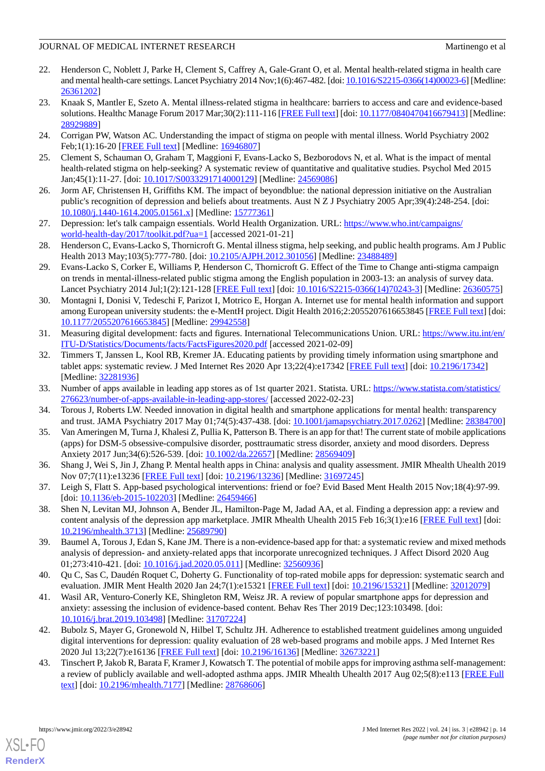- <span id="page-13-0"></span>22. Henderson C, Noblett J, Parke H, Clement S, Caffrey A, Gale-Grant O, et al. Mental health-related stigma in health care and mental health-care settings. Lancet Psychiatry 2014 Nov;1(6):467-482. [doi: [10.1016/S2215-0366\(14\)00023-6](http://dx.doi.org/10.1016/S2215-0366(14)00023-6)] [Medline: [26361202](http://www.ncbi.nlm.nih.gov/entrez/query.fcgi?cmd=Retrieve&db=PubMed&list_uids=26361202&dopt=Abstract)]
- <span id="page-13-1"></span>23. Knaak S, Mantler E, Szeto A. Mental illness-related stigma in healthcare: barriers to access and care and evidence-based solutions. Healthc Manage Forum 2017 Mar;30(2):111-116 [\[FREE Full text\]](https://journals.sagepub.com/doi/10.1177/0840470416679413?url_ver=Z39.88-2003&rfr_id=ori:rid:crossref.org&rfr_dat=cr_pub%3dpubmed) [doi: [10.1177/0840470416679413](http://dx.doi.org/10.1177/0840470416679413)] [Medline: [28929889](http://www.ncbi.nlm.nih.gov/entrez/query.fcgi?cmd=Retrieve&db=PubMed&list_uids=28929889&dopt=Abstract)]
- <span id="page-13-3"></span><span id="page-13-2"></span>24. Corrigan PW, Watson AC. Understanding the impact of stigma on people with mental illness. World Psychiatry 2002 Feb;1(1):16-20 [[FREE Full text](http://europepmc.org/abstract/MED/16946807)] [Medline: [16946807](http://www.ncbi.nlm.nih.gov/entrez/query.fcgi?cmd=Retrieve&db=PubMed&list_uids=16946807&dopt=Abstract)]
- <span id="page-13-4"></span>25. Clement S, Schauman O, Graham T, Maggioni F, Evans-Lacko S, Bezborodovs N, et al. What is the impact of mental health-related stigma on help-seeking? A systematic review of quantitative and qualitative studies. Psychol Med 2015 Jan;45(1):11-27. [doi: [10.1017/S0033291714000129\]](http://dx.doi.org/10.1017/S0033291714000129) [Medline: [24569086](http://www.ncbi.nlm.nih.gov/entrez/query.fcgi?cmd=Retrieve&db=PubMed&list_uids=24569086&dopt=Abstract)]
- <span id="page-13-5"></span>26. Jorm AF, Christensen H, Griffiths KM. The impact of beyondblue: the national depression initiative on the Australian public's recognition of depression and beliefs about treatments. Aust N Z J Psychiatry 2005 Apr;39(4):248-254. [doi: [10.1080/j.1440-1614.2005.01561.x\]](http://dx.doi.org/10.1080/j.1440-1614.2005.01561.x) [Medline: [15777361\]](http://www.ncbi.nlm.nih.gov/entrez/query.fcgi?cmd=Retrieve&db=PubMed&list_uids=15777361&dopt=Abstract)
- <span id="page-13-6"></span>27. Depression: let's talk campaign essentials. World Health Organization. URL: [https://www.who.int/campaigns/](https://www.who.int/campaigns/world-health-day/2017/toolkit.pdf?ua=1) [world-health-day/2017/toolkit.pdf?ua=1](https://www.who.int/campaigns/world-health-day/2017/toolkit.pdf?ua=1) [accessed 2021-01-21]
- <span id="page-13-7"></span>28. Henderson C, Evans-Lacko S, Thornicroft G. Mental illness stigma, help seeking, and public health programs. Am J Public Health 2013 May;103(5):777-780. [doi: [10.2105/AJPH.2012.301056\]](http://dx.doi.org/10.2105/AJPH.2012.301056) [Medline: [23488489](http://www.ncbi.nlm.nih.gov/entrez/query.fcgi?cmd=Retrieve&db=PubMed&list_uids=23488489&dopt=Abstract)]
- <span id="page-13-8"></span>29. Evans-Lacko S, Corker E, Williams P, Henderson C, Thornicroft G. Effect of the Time to Change anti-stigma campaign on trends in mental-illness-related public stigma among the English population in 2003-13: an analysis of survey data. Lancet Psychiatry 2014 Jul;1(2):121-128 [\[FREE Full text\]](https://linkinghub.elsevier.com/retrieve/pii/S2215-0366(14)70243-3) [doi: [10.1016/S2215-0366\(14\)70243-3](http://dx.doi.org/10.1016/S2215-0366(14)70243-3)] [Medline: [26360575](http://www.ncbi.nlm.nih.gov/entrez/query.fcgi?cmd=Retrieve&db=PubMed&list_uids=26360575&dopt=Abstract)]
- <span id="page-13-9"></span>30. Montagni I, Donisi V, Tedeschi F, Parizot I, Motrico E, Horgan A. Internet use for mental health information and support among European university students: the e-MentH project. Digit Health 2016;2:2055207616653845 [[FREE Full text](https://journals.sagepub.com/doi/10.1177/2055207616653845?url_ver=Z39.88-2003&rfr_id=ori:rid:crossref.org&rfr_dat=cr_pub%3dpubmed)] [doi: [10.1177/2055207616653845\]](http://dx.doi.org/10.1177/2055207616653845) [Medline: [29942558\]](http://www.ncbi.nlm.nih.gov/entrez/query.fcgi?cmd=Retrieve&db=PubMed&list_uids=29942558&dopt=Abstract)
- <span id="page-13-10"></span>31. Measuring digital development: facts and figures. International Telecommunications Union. URL: [https://www.itu.int/en/](https://www.itu.int/en/ITU-D/Statistics/Documents/facts/FactsFigures2020.pdf) [ITU-D/Statistics/Documents/facts/FactsFigures2020.pdf](https://www.itu.int/en/ITU-D/Statistics/Documents/facts/FactsFigures2020.pdf) [accessed 2021-02-09]
- <span id="page-13-12"></span><span id="page-13-11"></span>32. Timmers T, Janssen L, Kool RB, Kremer JA. Educating patients by providing timely information using smartphone and tablet apps: systematic review. J Med Internet Res 2020 Apr 13;22(4):e17342 [[FREE Full text](https://www.jmir.org/2020/4/e17342/)] [doi: [10.2196/17342\]](http://dx.doi.org/10.2196/17342) [Medline: [32281936](http://www.ncbi.nlm.nih.gov/entrez/query.fcgi?cmd=Retrieve&db=PubMed&list_uids=32281936&dopt=Abstract)]
- <span id="page-13-13"></span>33. Number of apps available in leading app stores as of 1st quarter 2021. Statista. URL: [https://www.statista.com/statistics/](https://www.statista.com/statistics/276623/number-of-apps-available-in-leading-app-stores/) [276623/number-of-apps-available-in-leading-app-stores/](https://www.statista.com/statistics/276623/number-of-apps-available-in-leading-app-stores/) [accessed 2022-02-23]
- <span id="page-13-14"></span>34. Torous J, Roberts LW. Needed innovation in digital health and smartphone applications for mental health: transparency and trust. JAMA Psychiatry 2017 May 01;74(5):437-438. [doi: [10.1001/jamapsychiatry.2017.0262](http://dx.doi.org/10.1001/jamapsychiatry.2017.0262)] [Medline: [28384700\]](http://www.ncbi.nlm.nih.gov/entrez/query.fcgi?cmd=Retrieve&db=PubMed&list_uids=28384700&dopt=Abstract)
- <span id="page-13-15"></span>35. Van Ameringen M, Turna J, Khalesi Z, Pullia K, Patterson B. There is an app for that! The current state of mobile applications (apps) for DSM-5 obsessive-compulsive disorder, posttraumatic stress disorder, anxiety and mood disorders. Depress Anxiety 2017 Jun;34(6):526-539. [doi: [10.1002/da.22657\]](http://dx.doi.org/10.1002/da.22657) [Medline: [28569409\]](http://www.ncbi.nlm.nih.gov/entrez/query.fcgi?cmd=Retrieve&db=PubMed&list_uids=28569409&dopt=Abstract)
- <span id="page-13-16"></span>36. Shang J, Wei S, Jin J, Zhang P. Mental health apps in China: analysis and quality assessment. JMIR Mhealth Uhealth 2019 Nov 07;7(11):e13236 [[FREE Full text](https://mhealth.jmir.org/2019/11/e13236/)] [doi: [10.2196/13236](http://dx.doi.org/10.2196/13236)] [Medline: [31697245](http://www.ncbi.nlm.nih.gov/entrez/query.fcgi?cmd=Retrieve&db=PubMed&list_uids=31697245&dopt=Abstract)]
- <span id="page-13-17"></span>37. Leigh S, Flatt S. App-based psychological interventions: friend or foe? Evid Based Ment Health 2015 Nov;18(4):97-99. [doi: [10.1136/eb-2015-102203](http://dx.doi.org/10.1136/eb-2015-102203)] [Medline: [26459466](http://www.ncbi.nlm.nih.gov/entrez/query.fcgi?cmd=Retrieve&db=PubMed&list_uids=26459466&dopt=Abstract)]
- <span id="page-13-18"></span>38. Shen N, Levitan MJ, Johnson A, Bender JL, Hamilton-Page M, Jadad AA, et al. Finding a depression app: a review and content analysis of the depression app marketplace. JMIR Mhealth Uhealth 2015 Feb 16;3(1):e16 [\[FREE Full text\]](https://mhealth.jmir.org/2015/1/e16/) [doi: [10.2196/mhealth.3713](http://dx.doi.org/10.2196/mhealth.3713)] [Medline: [25689790](http://www.ncbi.nlm.nih.gov/entrez/query.fcgi?cmd=Retrieve&db=PubMed&list_uids=25689790&dopt=Abstract)]
- <span id="page-13-19"></span>39. Baumel A, Torous J, Edan S, Kane JM. There is a non-evidence-based app for that: a systematic review and mixed methods analysis of depression- and anxiety-related apps that incorporate unrecognized techniques. J Affect Disord 2020 Aug 01;273:410-421. [doi: [10.1016/j.jad.2020.05.011](http://dx.doi.org/10.1016/j.jad.2020.05.011)] [Medline: [32560936\]](http://www.ncbi.nlm.nih.gov/entrez/query.fcgi?cmd=Retrieve&db=PubMed&list_uids=32560936&dopt=Abstract)
- <span id="page-13-20"></span>40. Qu C, Sas C, Daudén Roquet C, Doherty G. Functionality of top-rated mobile apps for depression: systematic search and evaluation. JMIR Ment Health 2020 Jan 24;7(1):e15321 [\[FREE Full text\]](https://mental.jmir.org/2020/1/e15321/) [doi: [10.2196/15321](http://dx.doi.org/10.2196/15321)] [Medline: [32012079](http://www.ncbi.nlm.nih.gov/entrez/query.fcgi?cmd=Retrieve&db=PubMed&list_uids=32012079&dopt=Abstract)]
- <span id="page-13-21"></span>41. Wasil AR, Venturo-Conerly KE, Shingleton RM, Weisz JR. A review of popular smartphone apps for depression and anxiety: assessing the inclusion of evidence-based content. Behav Res Ther 2019 Dec;123:103498. [doi: [10.1016/j.brat.2019.103498\]](http://dx.doi.org/10.1016/j.brat.2019.103498) [Medline: [31707224](http://www.ncbi.nlm.nih.gov/entrez/query.fcgi?cmd=Retrieve&db=PubMed&list_uids=31707224&dopt=Abstract)]
- 42. Bubolz S, Mayer G, Gronewold N, Hilbel T, Schultz JH. Adherence to established treatment guidelines among unguided digital interventions for depression: quality evaluation of 28 web-based programs and mobile apps. J Med Internet Res 2020 Jul 13;22(7):e16136 [[FREE Full text](https://www.jmir.org/2020/7/e16136/)] [doi: [10.2196/16136\]](http://dx.doi.org/10.2196/16136) [Medline: [32673221](http://www.ncbi.nlm.nih.gov/entrez/query.fcgi?cmd=Retrieve&db=PubMed&list_uids=32673221&dopt=Abstract)]
- 43. Tinschert P, Jakob R, Barata F, Kramer J, Kowatsch T. The potential of mobile apps for improving asthma self-management: a review of publicly available and well-adopted asthma apps. JMIR Mhealth Uhealth 2017 Aug 02;5(8):e113 [[FREE Full](https://mhealth.jmir.org/2017/8/e113/) [text](https://mhealth.jmir.org/2017/8/e113/)] [doi: [10.2196/mhealth.7177\]](http://dx.doi.org/10.2196/mhealth.7177) [Medline: [28768606](http://www.ncbi.nlm.nih.gov/entrez/query.fcgi?cmd=Retrieve&db=PubMed&list_uids=28768606&dopt=Abstract)]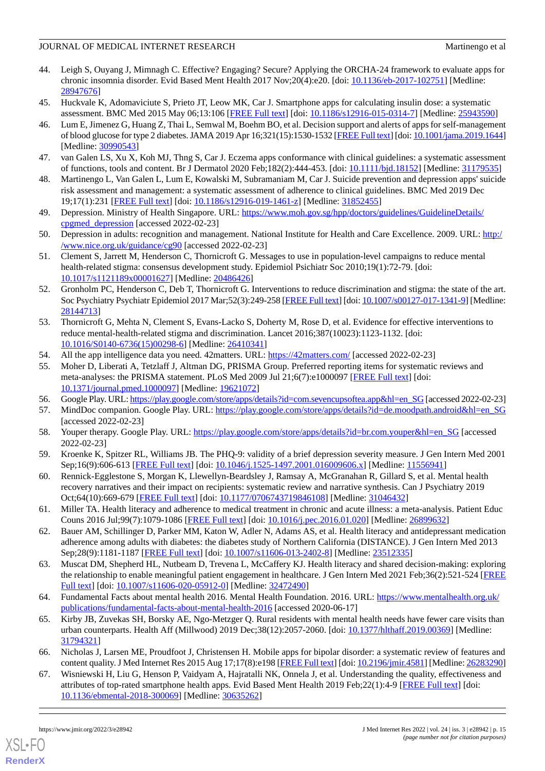- <span id="page-14-0"></span>44. Leigh S, Ouyang J, Mimnagh C. Effective? Engaging? Secure? Applying the ORCHA-24 framework to evaluate apps for chronic insomnia disorder. Evid Based Ment Health 2017 Nov;20(4):e20. [doi: [10.1136/eb-2017-102751\]](http://dx.doi.org/10.1136/eb-2017-102751) [Medline: [28947676](http://www.ncbi.nlm.nih.gov/entrez/query.fcgi?cmd=Retrieve&db=PubMed&list_uids=28947676&dopt=Abstract)]
- <span id="page-14-19"></span><span id="page-14-1"></span>45. Huckvale K, Adomaviciute S, Prieto JT, Leow MK, Car J. Smartphone apps for calculating insulin dose: a systematic assessment. BMC Med 2015 May 06;13:106 [\[FREE Full text\]](https://bmcmedicine.biomedcentral.com/articles/10.1186/s12916-015-0314-7) [doi: [10.1186/s12916-015-0314-7](http://dx.doi.org/10.1186/s12916-015-0314-7)] [Medline: [25943590\]](http://www.ncbi.nlm.nih.gov/entrez/query.fcgi?cmd=Retrieve&db=PubMed&list_uids=25943590&dopt=Abstract)
- 46. Lum E, Jimenez G, Huang Z, Thai L, Semwal M, Boehm BO, et al. Decision support and alerts of apps for self-management of blood glucose for type 2 diabetes. JAMA 2019 Apr 16;321(15):1530-1532 [\[FREE Full text](http://europepmc.org/abstract/MED/30990543)] [doi: [10.1001/jama.2019.1644\]](http://dx.doi.org/10.1001/jama.2019.1644) [Medline: [30990543](http://www.ncbi.nlm.nih.gov/entrez/query.fcgi?cmd=Retrieve&db=PubMed&list_uids=30990543&dopt=Abstract)]
- <span id="page-14-2"></span>47. van Galen LS, Xu X, Koh MJ, Thng S, Car J. Eczema apps conformance with clinical guidelines: a systematic assessment of functions, tools and content. Br J Dermatol 2020 Feb;182(2):444-453. [doi: [10.1111/bjd.18152](http://dx.doi.org/10.1111/bjd.18152)] [Medline: [31179535\]](http://www.ncbi.nlm.nih.gov/entrez/query.fcgi?cmd=Retrieve&db=PubMed&list_uids=31179535&dopt=Abstract)
- <span id="page-14-3"></span>48. Martinengo L, Van Galen L, Lum E, Kowalski M, Subramaniam M, Car J. Suicide prevention and depression apps' suicide risk assessment and management: a systematic assessment of adherence to clinical guidelines. BMC Med 2019 Dec 19;17(1):231 [[FREE Full text\]](https://bmcmedicine.biomedcentral.com/articles/10.1186/s12916-019-1461-z) [doi: [10.1186/s12916-019-1461-z\]](http://dx.doi.org/10.1186/s12916-019-1461-z) [Medline: [31852455\]](http://www.ncbi.nlm.nih.gov/entrez/query.fcgi?cmd=Retrieve&db=PubMed&list_uids=31852455&dopt=Abstract)
- <span id="page-14-4"></span>49. Depression. Ministry of Health Singapore. URL: [https://www.moh.gov.sg/hpp/doctors/guidelines/GuidelineDetails/](https://www.moh.gov.sg/hpp/doctors/guidelines/GuidelineDetails/cpgmed_depression) [cpgmed\\_depression](https://www.moh.gov.sg/hpp/doctors/guidelines/GuidelineDetails/cpgmed_depression) [accessed 2022-02-23]
- <span id="page-14-5"></span>50. Depression in adults: recognition and management. National Institute for Health and Care Excellence. 2009. URL: [http:/](http://www.nice.org.uk/guidance/cg90) [/www.nice.org.uk/guidance/cg90](http://www.nice.org.uk/guidance/cg90) [accessed 2022-02-23]
- <span id="page-14-6"></span>51. Clement S, Jarrett M, Henderson C, Thornicroft G. Messages to use in population-level campaigns to reduce mental health-related stigma: consensus development study. Epidemiol Psichiatr Soc 2010;19(1):72-79. [doi: [10.1017/s1121189x00001627\]](http://dx.doi.org/10.1017/s1121189x00001627) [Medline: [20486426\]](http://www.ncbi.nlm.nih.gov/entrez/query.fcgi?cmd=Retrieve&db=PubMed&list_uids=20486426&dopt=Abstract)
- <span id="page-14-7"></span>52. Gronholm PC, Henderson C, Deb T, Thornicroft G. Interventions to reduce discrimination and stigma: the state of the art. Soc Psychiatry Psychiatr Epidemiol 2017 Mar; 52(3): 249-258 [[FREE Full text](http://europepmc.org/abstract/MED/28144713)] [doi: [10.1007/s00127-017-1341-9\]](http://dx.doi.org/10.1007/s00127-017-1341-9) [Medline: [28144713](http://www.ncbi.nlm.nih.gov/entrez/query.fcgi?cmd=Retrieve&db=PubMed&list_uids=28144713&dopt=Abstract)]
- <span id="page-14-9"></span><span id="page-14-8"></span>53. Thornicroft G, Mehta N, Clement S, Evans-Lacko S, Doherty M, Rose D, et al. Evidence for effective interventions to reduce mental-health-related stigma and discrimination. Lancet 2016;387(10023):1123-1132. [doi: [10.1016/S0140-6736\(15\)00298-6\]](http://dx.doi.org/10.1016/S0140-6736(15)00298-6) [Medline: [26410341](http://www.ncbi.nlm.nih.gov/entrez/query.fcgi?cmd=Retrieve&db=PubMed&list_uids=26410341&dopt=Abstract)]
- <span id="page-14-10"></span>54. All the app intelligence data you need. 42matters. URL: <https://42matters.com/> [accessed 2022-02-23]
- 55. Moher D, Liberati A, Tetzlaff J, Altman DG, PRISMA Group. Preferred reporting items for systematic reviews and meta-analyses: the PRISMA statement. PLoS Med 2009 Jul 21;6(7):e1000097 [[FREE Full text](https://dx.plos.org/10.1371/journal.pmed.1000097)] [doi: [10.1371/journal.pmed.1000097](http://dx.doi.org/10.1371/journal.pmed.1000097)] [Medline: [19621072](http://www.ncbi.nlm.nih.gov/entrez/query.fcgi?cmd=Retrieve&db=PubMed&list_uids=19621072&dopt=Abstract)]
- <span id="page-14-11"></span>56. Google Play. URL: [https://play.google.com/store/apps/details?id=com.sevencupsoftea.app&hl=en\\_SG](https://play.google.com/store/apps/details?id=com.sevencupsoftea.app&hl=en_SG) [accessed 2022-02-23]
- <span id="page-14-12"></span>57. MindDoc companion. Google Play. URL: [https://play.google.com/store/apps/details?id=de.moodpath.android&hl=en\\_SG](https://play.google.com/store/apps/details?id=de.moodpath.android&hl=en_SG) [accessed 2022-02-23]
- <span id="page-14-13"></span>58. Youper therapy. Google Play. URL: [https://play.google.com/store/apps/details?id=br.com.youper&hl=en\\_SG](https://play.google.com/store/apps/details?id=br.com.youper&hl=en_SG) [accessed] 2022-02-23]
- <span id="page-14-14"></span>59. Kroenke K, Spitzer RL, Williams JB. The PHQ-9: validity of a brief depression severity measure. J Gen Intern Med 2001 Sep;16(9):606-613 [[FREE Full text](https://onlinelibrary.wiley.com/resolve/openurl?genre=article&sid=nlm:pubmed&issn=0884-8734&date=2001&volume=16&issue=9&spage=606)] [doi: [10.1046/j.1525-1497.2001.016009606.x\]](http://dx.doi.org/10.1046/j.1525-1497.2001.016009606.x) [Medline: [11556941\]](http://www.ncbi.nlm.nih.gov/entrez/query.fcgi?cmd=Retrieve&db=PubMed&list_uids=11556941&dopt=Abstract)
- <span id="page-14-15"></span>60. Rennick-Egglestone S, Morgan K, Llewellyn-Beardsley J, Ramsay A, McGranahan R, Gillard S, et al. Mental health recovery narratives and their impact on recipients: systematic review and narrative synthesis. Can J Psychiatry 2019 Oct;64(10):669-679 [\[FREE Full text\]](http://europepmc.org/abstract/MED/31046432) [doi: [10.1177/0706743719846108](http://dx.doi.org/10.1177/0706743719846108)] [Medline: [31046432](http://www.ncbi.nlm.nih.gov/entrez/query.fcgi?cmd=Retrieve&db=PubMed&list_uids=31046432&dopt=Abstract)]
- <span id="page-14-16"></span>61. Miller TA. Health literacy and adherence to medical treatment in chronic and acute illness: a meta-analysis. Patient Educ Couns 2016 Jul;99(7):1079-1086 [\[FREE Full text\]](http://europepmc.org/abstract/MED/26899632) [doi: [10.1016/j.pec.2016.01.020\]](http://dx.doi.org/10.1016/j.pec.2016.01.020) [Medline: [26899632\]](http://www.ncbi.nlm.nih.gov/entrez/query.fcgi?cmd=Retrieve&db=PubMed&list_uids=26899632&dopt=Abstract)
- <span id="page-14-17"></span>62. Bauer AM, Schillinger D, Parker MM, Katon W, Adler N, Adams AS, et al. Health literacy and antidepressant medication adherence among adults with diabetes: the diabetes study of Northern California (DISTANCE). J Gen Intern Med 2013 Sep;28(9):1181-1187 [[FREE Full text](http://europepmc.org/abstract/MED/23512335)] [doi: [10.1007/s11606-013-2402-8\]](http://dx.doi.org/10.1007/s11606-013-2402-8) [Medline: [23512335\]](http://www.ncbi.nlm.nih.gov/entrez/query.fcgi?cmd=Retrieve&db=PubMed&list_uids=23512335&dopt=Abstract)
- <span id="page-14-18"></span>63. Muscat DM, Shepherd HL, Nutbeam D, Trevena L, McCaffery KJ. Health literacy and shared decision-making: exploring the relationship to enable meaningful patient engagement in healthcare. J Gen Intern Med 2021 Feb;36(2):521-524 [\[FREE](http://europepmc.org/abstract/MED/32472490) [Full text\]](http://europepmc.org/abstract/MED/32472490) [doi: [10.1007/s11606-020-05912-0](http://dx.doi.org/10.1007/s11606-020-05912-0)] [Medline: [32472490](http://www.ncbi.nlm.nih.gov/entrez/query.fcgi?cmd=Retrieve&db=PubMed&list_uids=32472490&dopt=Abstract)]
- <span id="page-14-21"></span><span id="page-14-20"></span>64. Fundamental Facts about mental health 2016. Mental Health Foundation. 2016. URL: [https://www.mentalhealth.org.uk/](https://www.mentalhealth.org.uk/publications/fundamental-facts-about-mental-health-2016) [publications/fundamental-facts-about-mental-health-2016](https://www.mentalhealth.org.uk/publications/fundamental-facts-about-mental-health-2016) [accessed 2020-06-17]
- 65. Kirby JB, Zuvekas SH, Borsky AE, Ngo-Metzger Q. Rural residents with mental health needs have fewer care visits than urban counterparts. Health Aff (Millwood) 2019 Dec;38(12):2057-2060. [doi: [10.1377/hlthaff.2019.00369](http://dx.doi.org/10.1377/hlthaff.2019.00369)] [Medline: [31794321](http://www.ncbi.nlm.nih.gov/entrez/query.fcgi?cmd=Retrieve&db=PubMed&list_uids=31794321&dopt=Abstract)]
- 66. Nicholas J, Larsen ME, Proudfoot J, Christensen H. Mobile apps for bipolar disorder: a systematic review of features and content quality. J Med Internet Res 2015 Aug 17;17(8):e198 [\[FREE Full text\]](https://www.jmir.org/2015/8/e198/) [doi: [10.2196/jmir.4581\]](http://dx.doi.org/10.2196/jmir.4581) [Medline: [26283290](http://www.ncbi.nlm.nih.gov/entrez/query.fcgi?cmd=Retrieve&db=PubMed&list_uids=26283290&dopt=Abstract)]
- 67. Wisniewski H, Liu G, Henson P, Vaidyam A, Hajratalli NK, Onnela J, et al. Understanding the quality, effectiveness and attributes of top-rated smartphone health apps. Evid Based Ment Health 2019 Feb;22(1):4-9 [[FREE Full text](http://europepmc.org/abstract/MED/30635262)] [doi: [10.1136/ebmental-2018-300069](http://dx.doi.org/10.1136/ebmental-2018-300069)] [Medline: [30635262\]](http://www.ncbi.nlm.nih.gov/entrez/query.fcgi?cmd=Retrieve&db=PubMed&list_uids=30635262&dopt=Abstract)